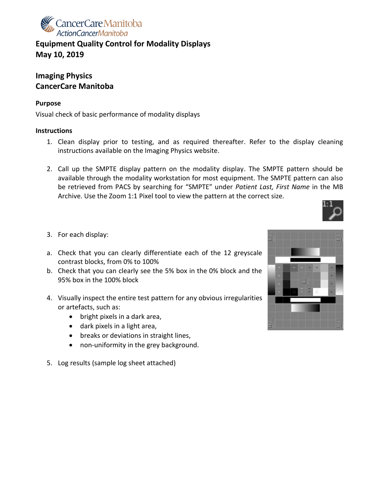

**Equipment Quality Control for Modality Displays May 10, 2019**

## **Imaging Physics CancerCare Manitoba**

## **Purpose**

Visual check of basic performance of modality displays

## **Instructions**

- 1. Clean display prior to testing, and as required thereafter. Refer to the display cleaning instructions available on the Imaging Physics website.
- 2. Call up the SMPTE display pattern on the modality display. The SMPTE pattern should be available through the modality workstation for most equipment. The SMPTE pattern can also be retrieved from PACS by searching for "SMPTE" under *Patient Last, First Name* in the MB Archive. Use the Zoom 1:1 Pixel tool to view the pattern at the correct size.



- 3. For each display:
- a. Check that you can clearly differentiate each of the 12 greyscale contrast blocks, from 0% to 100%
- b. Check that you can clearly see the 5% box in the 0% block and the 95% box in the 100% block
- 4. Visually inspect the entire test pattern for any obvious irregularities or artefacts, such as:
	- bright pixels in a dark area,
	- dark pixels in a light area,
	- breaks or deviations in straight lines,
	- non-uniformity in the grey background.
- 5. Log results (sample log sheet attached)